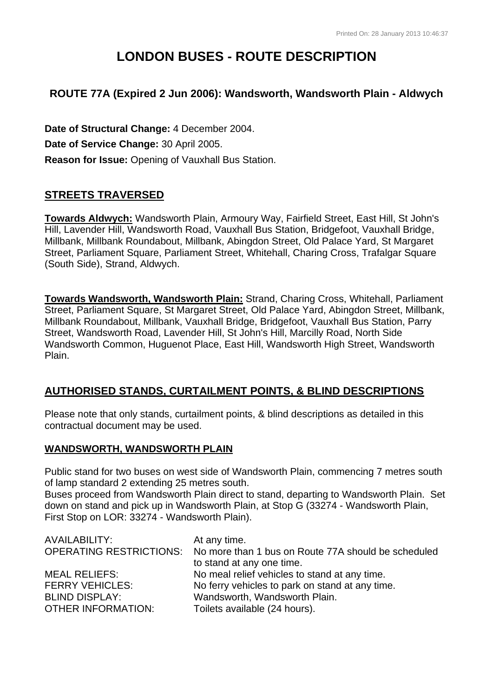# **LONDON BUSES - ROUTE DESCRIPTION**

# **ROUTE 77A (Expired 2 Jun 2006): Wandsworth, Wandsworth Plain - Aldwych**

**Date of Structural Change:** 4 December 2004. **Date of Service Change:** 30 April 2005. **Reason for Issue:** Opening of Vauxhall Bus Station.

# **STREETS TRAVERSED**

**Towards Aldwych:** Wandsworth Plain, Armoury Way, Fairfield Street, East Hill, St John's Hill, Lavender Hill, Wandsworth Road, Vauxhall Bus Station, Bridgefoot, Vauxhall Bridge, Millbank, Millbank Roundabout, Millbank, Abingdon Street, Old Palace Yard, St Margaret Street, Parliament Square, Parliament Street, Whitehall, Charing Cross, Trafalgar Square (South Side), Strand, Aldwych.

**Towards Wandsworth, Wandsworth Plain:** Strand, Charing Cross, Whitehall, Parliament Street, Parliament Square, St Margaret Street, Old Palace Yard, Abingdon Street, Millbank, Millbank Roundabout, Millbank, Vauxhall Bridge, Bridgefoot, Vauxhall Bus Station, Parry Street, Wandsworth Road, Lavender Hill, St John's Hill, Marcilly Road, North Side Wandsworth Common, Huguenot Place, East Hill, Wandsworth High Street, Wandsworth Plain.

## **AUTHORISED STANDS, CURTAILMENT POINTS, & BLIND DESCRIPTIONS**

Please note that only stands, curtailment points, & blind descriptions as detailed in this contractual document may be used.

### **WANDSWORTH, WANDSWORTH PLAIN**

Public stand for two buses on west side of Wandsworth Plain, commencing 7 metres south of lamp standard 2 extending 25 metres south.

Buses proceed from Wandsworth Plain direct to stand, departing to Wandsworth Plain. Set down on stand and pick up in Wandsworth Plain, at Stop G (33274 - Wandsworth Plain, First Stop on LOR: 33274 - Wandsworth Plain).

| AVAILABILITY:             | At any time.                                                                |
|---------------------------|-----------------------------------------------------------------------------|
|                           | OPERATING RESTRICTIONS: No more than 1 bus on Route 77A should be scheduled |
|                           | to stand at any one time.                                                   |
| <b>MEAL RELIEFS:</b>      | No meal relief vehicles to stand at any time.                               |
| <b>FERRY VEHICLES:</b>    | No ferry vehicles to park on stand at any time.                             |
| <b>BLIND DISPLAY:</b>     | Wandsworth, Wandsworth Plain.                                               |
| <b>OTHER INFORMATION:</b> | Toilets available (24 hours).                                               |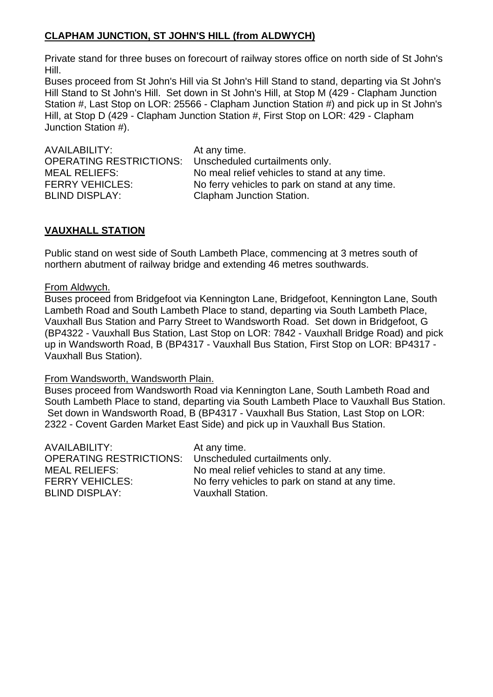# **CLAPHAM JUNCTION, ST JOHN'S HILL (from ALDWYCH)**

Private stand for three buses on forecourt of railway stores office on north side of St John's Hill.

Buses proceed from St John's Hill via St John's Hill Stand to stand, departing via St John's Hill Stand to St John's Hill. Set down in St John's Hill, at Stop M (429 - Clapham Junction Station #, Last Stop on LOR: 25566 - Clapham Junction Station #) and pick up in St John's Hill, at Stop D (429 - Clapham Junction Station #, First Stop on LOR: 429 - Clapham Junction Station #).

AVAILABILITY: At any time. OPERATING RESTRICTIONS: Unscheduled curtailments only. BLIND DISPLAY: Clapham Junction Station.

MEAL RELIEFS: No meal relief vehicles to stand at any time. FERRY VEHICLES: No ferry vehicles to park on stand at any time.

## **VAUXHALL STATION**

Public stand on west side of South Lambeth Place, commencing at 3 metres south of northern abutment of railway bridge and extending 46 metres southwards.

### From Aldwych.

Buses proceed from Bridgefoot via Kennington Lane, Bridgefoot, Kennington Lane, South Lambeth Road and South Lambeth Place to stand, departing via South Lambeth Place, Vauxhall Bus Station and Parry Street to Wandsworth Road. Set down in Bridgefoot, G (BP4322 - Vauxhall Bus Station, Last Stop on LOR: 7842 - Vauxhall Bridge Road) and pick up in Wandsworth Road, B (BP4317 - Vauxhall Bus Station, First Stop on LOR: BP4317 - Vauxhall Bus Station).

### From Wandsworth, Wandsworth Plain.

Buses proceed from Wandsworth Road via Kennington Lane, South Lambeth Road and South Lambeth Place to stand, departing via South Lambeth Place to Vauxhall Bus Station. Set down in Wandsworth Road, B (BP4317 - Vauxhall Bus Station, Last Stop on LOR: 2322 - Covent Garden Market East Side) and pick up in Vauxhall Bus Station.

| AVAILABILITY:<br>OPERATING RESTRICTIONS: | At any time.                                    |
|------------------------------------------|-------------------------------------------------|
|                                          | Unscheduled curtailments only.                  |
| MEAL RELIEFS:                            | No meal relief vehicles to stand at any time.   |
| <b>FERRY VEHICLES:</b>                   | No ferry vehicles to park on stand at any time. |
| <b>BLIND DISPLAY:</b>                    | <b>Vauxhall Station.</b>                        |